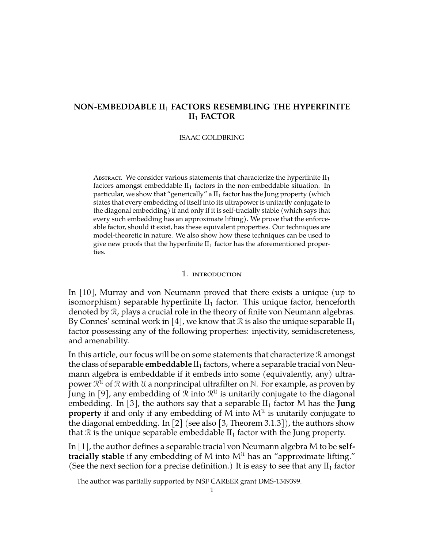# **NON-EMBEDDABLE II**<sup>1</sup> **FACTORS RESEMBLING THE HYPERFINITE II**<sup>1</sup> **FACTOR**

#### ISAAC GOLDBRING

ABSTRACT. We consider various statements that characterize the hyperfinite  $II_1$ factors amongst embeddable  $II_1$  factors in the non-embeddable situation. In particular, we show that "generically" a  $II<sub>1</sub>$  factor has the Jung property (which states that every embedding of itself into its ultrapower is unitarily conjugate to the diagonal embedding) if and only if it is self-tracially stable (which says that every such embedding has an approximate lifting). We prove that the enforceable factor, should it exist, has these equivalent properties. Our techniques are model-theoretic in nature. We also show how these techniques can be used to give new proofs that the hyperfinite  $II_1$  factor has the aforementioned properties.

#### 1. introduction

In [\[10\]](#page-7-0), Murray and von Neumann proved that there exists a unique (up to isomorphism) separable hyperfinite  $II_1$  factor. This unique factor, henceforth denoted by R, plays a crucial role in the theory of finite von Neumann algebras. By Connes' seminal work in [\[4\]](#page-7-1), we know that  $\mathcal R$  is also the unique separable  $II_1$ factor possessing any of the following properties: injectivity, semidiscreteness, and amenability.

In this article, our focus will be on some statements that characterize  $\mathcal R$  amongst the class of separable **embeddable** II<sub>1</sub> factors, where a separable tracial von Neumann algebra is embeddable if it embeds into some (equivalently, any) ultrapower  $\mathfrak{R}^{\mathfrak{U}}$  of  $\mathfrak{R}$  with  $\mathfrak{U}$  a nonprincipal ultrafilter on  $\mathbb{N}.$  For example, as proven by Jung in [\[9\]](#page-7-2), any embedding of  $\mathcal R$  into  $\mathcal R^{\mathfrak U}$  is unitarily conjugate to the diagonal embedding. In [\[3\]](#page-6-0), the authors say that a separable  $II_1$  factor M has the **Jung property** if and only if any embedding of M into  $M^{\mathcal{U}}$  is unitarily conjugate to the diagonal embedding. In [\[2\]](#page-6-1) (see also [\[3,](#page-6-0) Theorem 3.1.3]), the authors show that  $\mathcal R$  is the unique separable embeddable  $II_1$  factor with the Jung property.

In [\[1\]](#page-6-2), the author defines a separable tracial von Neumann algebra M to be **selftracially stable** if any embedding of M into  $M<sup>U</sup>$  has an "approximate lifting." (See the next section for a precise definition.) It is easy to see that any  $II_1$  factor

The author was partially supported by NSF CAREER grant DMS-1349399.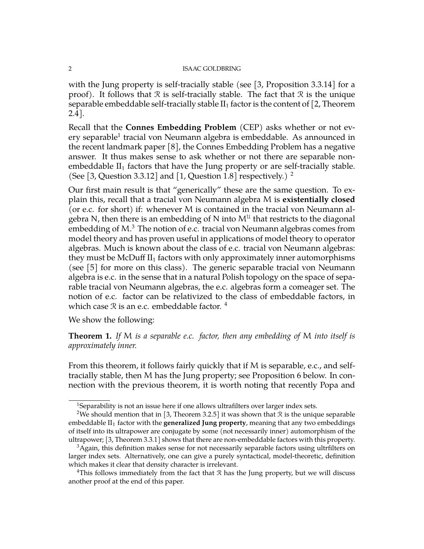with the Jung property is self-tracially stable (see [\[3,](#page-6-0) Proposition 3.3.14] for a proof). It follows that  $\mathcal R$  is self-tracially stable. The fact that  $\mathcal R$  is the unique separable embeddable self-tracially stable  $II_1$  factor is the content of [\[2,](#page-6-1) Theorem 2.4].

Recall that the **Connes Embedding Problem** (CEP) asks whether or not ev-ery separable<sup>[1](#page-1-0)</sup> tracial von Neumann algebra is embeddable. As announced in the recent landmark paper [\[8\]](#page-7-3), the Connes Embedding Problem has a negative answer. It thus makes sense to ask whether or not there are separable nonembeddable  $II_1$  factors that have the Jung property or are self-tracially stable. (See [\[3,](#page-6-0) Question 3.3.12] and [\[1,](#page-6-2) Question 1.8] respectively.) <sup>[2](#page-1-1)</sup>

Our first main result is that "generically" these are the same question. To explain this, recall that a tracial von Neumann algebra M is **existentially closed** (or e.c. for short) if: whenever M is contained in the tracial von Neumann algebra N, then there is an embedding of N into  $\mathsf{M}^{\mathfrak{U}}$  that restricts to the diagonal embedding of M. $^3$  $^3$  The notion of e.c. tracial von Neumann algebras comes from model theory and has proven useful in applications of model theory to operator algebras. Much is known about the class of e.c. tracial von Neumann algebras: they must be McDuff  $II_1$  factors with only approximately inner automorphisms (see [\[5\]](#page-7-4) for more on this class). The generic separable tracial von Neumann algebra is e.c. in the sense that in a natural Polish topology on the space of separable tracial von Neumann algebras, the e.c. algebras form a comeager set. The notion of e.c. factor can be relativized to the class of embeddable factors, in which case  $\Re$  is an e.c. embeddable factor.  $\frac{4}{3}$  $\frac{4}{3}$  $\frac{4}{3}$ 

We show the following:

**Theorem 1.** *If* M *is a separable e.c. factor, then any embedding of* M *into itself is approximately inner.*

From this theorem, it follows fairly quickly that if M is separable, e.c., and selftracially stable, then M has the Jung property; see Proposition 6 below. In connection with the previous theorem, it is worth noting that recently Popa and

<span id="page-1-1"></span><span id="page-1-0"></span><sup>&</sup>lt;sup>1</sup>Separability is not an issue here if one allows ultrafilters over larger index sets.

<sup>&</sup>lt;sup>2</sup>We should mention that in [\[3,](#page-6-0) Theorem 3.2.5] it was shown that R is the unique separable embeddable II<sub>1</sub> factor with the **generalized Jung property**, meaning that any two embeddings of itself into its ultrapower are conjugate by some (not necessarily inner) automorphism of the ultrapower; [\[3,](#page-6-0) Theorem 3.3.1] shows that there are non-embeddable factors with this property.

<span id="page-1-2"></span><sup>&</sup>lt;sup>3</sup>Again, this definition makes sense for not necessarily separable factors using ultrfilters on larger index sets. Alternatively, one can give a purely syntactical, model-theoretic, definition which makes it clear that density character is irrelevant.

<span id="page-1-3"></span><sup>&</sup>lt;sup>4</sup>This follows immediately from the fact that  $\Re$  has the Jung property, but we will discuss another proof at the end of this paper.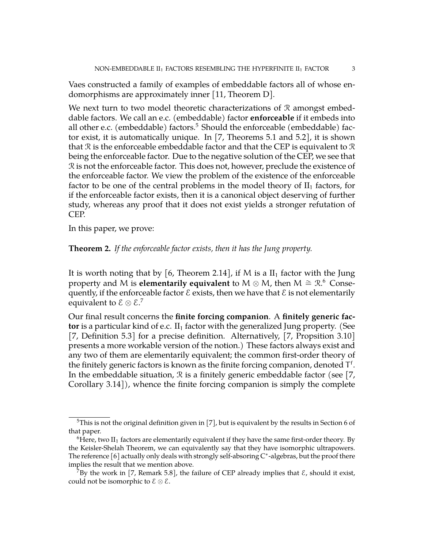Vaes constructed a family of examples of embeddable factors all of whose endomorphisms are approximately inner [\[11,](#page-7-5) Theorem D].

We next turn to two model theoretic characterizations of  $R$  amongst embeddable factors. We call an e.c. (embeddable) factor **enforceable** if it embeds into all other e.c. (embeddable) factors.<sup>[5](#page-2-0)</sup> Should the enforceable (embeddable) factor exist, it is automatically unique. In [\[7,](#page-7-6) Theorems 5.1 and 5.2], it is shown that R is the enforceable embeddable factor and that the CEP is equivalent to R being the enforceable factor. Due to the negative solution of the CEP, we see that R is not the enforceable factor. This does not, however, preclude the existence of the enforceable factor. We view the problem of the existence of the enforceable factor to be one of the central problems in the model theory of  $II_1$  factors, for if the enforceable factor exists, then it is a canonical object deserving of further study, whereas any proof that it does not exist yields a stronger refutation of CEP.

In this paper, we prove:

## **Theorem 2.** *If the enforceable factor exists, then it has the Jung property.*

It is worth noting that by [\[6,](#page-7-7) Theorem 2.14], if M is a  $II_1$  factor with the Jung property and M is **elementarily equivalent** to M  $\otimes$  M, then M  $\cong \mathbb{R}^6$  $\cong \mathbb{R}^6$  Consequently, if the enforceable factor  $\mathcal E$  exists, then we have that  $\mathcal E$  is not elementarily equivalent to  $\mathcal{E} \otimes \mathcal{E}.^7$  $\mathcal{E} \otimes \mathcal{E}.^7$ 

Our final result concerns the **finite forcing companion**. A **finitely generic factor** is a particular kind of e.c.  $II_1$  factor with the generalized Jung property. (See [\[7,](#page-7-6) Definition 5.3] for a precise definition. Alternatively, [7, Propsition 3.10] presents a more workable version of the notion.) These factors always exist and any two of them are elementarily equivalent; the common first-order theory of the finitely generic factors is known as the finite forcing companion, denoted  $\mathsf{T}^{\mathsf{f}}.$ In the embeddable situation,  $\Re$  is a finitely generic embeddable factor (see [\[7,](#page-7-6) Corollary 3.14]), whence the finite forcing companion is simply the complete

<span id="page-2-0"></span> $5$ This is not the original definition given in [\[7\]](#page-7-6), but is equivalent by the results in Section 6 of that paper.

<span id="page-2-1"></span> $6$ Here, two II<sub>1</sub> factors are elementarily equivalent if they have the same first-order theory. By the Keisler-Shelah Theorem, we can equivalently say that they have isomorphic ultrapowers. The reference [\[6\]](#page-7-7) actually only deals with strongly self-absoring  $C^*$ -algebras, but the proof there implies the result that we mention above.

<span id="page-2-2"></span>By the work in [\[7,](#page-7-6) Remark 5.8], the failure of CEP already implies that  $\mathcal{E}$ , should it exist, could not be isomorphic to  $\mathcal{E} \otimes \mathcal{E}$ .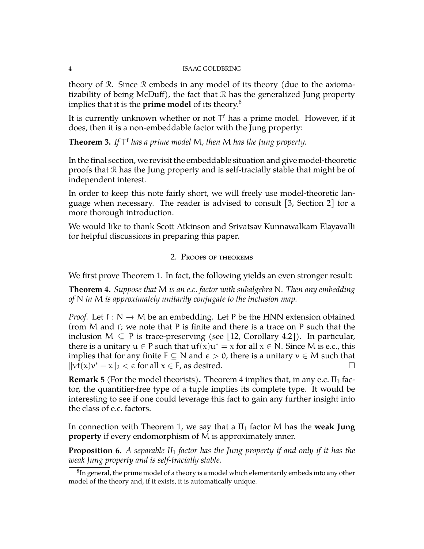theory of R. Since R embeds in any model of its theory (due to the axiomatizability of being McDuff), the fact that R has the generalized Jung property implies that it is the **prime model** of its theory.[8](#page-3-0)

It is currently unknown whether or not  $T<sup>f</sup>$  has a prime model. However, if it does, then it is a non-embeddable factor with the Jung property:

**Theorem 3.** *If* T <sup>f</sup> *has a prime model* M*, then* M *has the Jung property.*

In the final section, we revisit the embeddable situation and give model-theoretic proofs that R has the Jung property and is self-tracially stable that might be of independent interest.

In order to keep this note fairly short, we will freely use model-theoretic language when necessary. The reader is advised to consult [\[3,](#page-6-0) Section 2] for a more thorough introduction.

We would like to thank Scott Atkinson and Srivatsav Kunnawalkam Elayavalli for helpful discussions in preparing this paper.

# 2. Proofs of theorems

We first prove Theorem 1. In fact, the following yields an even stronger result:

**Theorem 4.** *Suppose that* M *is an e.c. factor with subalgebra* N*. Then any embedding of* N *in* M *is approximately unitarily conjugate to the inclusion map.*

*Proof.* Let  $f: N \to M$  be an embedding. Let P be the HNN extension obtained from M and f; we note that P is finite and there is a trace on P such that the inclusion  $M \subseteq P$  is trace-preserving (see [\[12,](#page-7-8) Corollary 4.2]). In particular, there is a unitary  $u \in P$  such that  $uf(x)u^* = x$  for all  $x \in N$ . Since M is e.c., this implies that for any finite  $F \subseteq N$  and  $\varepsilon > 0$ , there is a unitary  $v \in M$  such that  $\|\mathbf{v}\|(\mathbf{x})\mathbf{v}^* - \mathbf{x}\|_2 < \epsilon$  for all  $\mathbf{x} \in \mathsf{F}$ , as desired.

**Remark 5** (For the model theorists). Theorem 4 implies that, in any e.c.  $II_1$  factor, the quantifier-free type of a tuple implies its complete type. It would be interesting to see if one could leverage this fact to gain any further insight into the class of e.c. factors.

In connection with Theorem 1, we say that a  $II_1$  factor M has the **weak Jung property** if every endomorphism of M is approximately inner.

**Proposition 6.** *A separable II*<sup>1</sup> *factor has the Jung property if and only if it has the weak Jung property and is self-tracially stable.*

<span id="page-3-0"></span> ${}^8$ In general, the prime model of a theory is a model which elementarily embeds into any other model of the theory and, if it exists, it is automatically unique.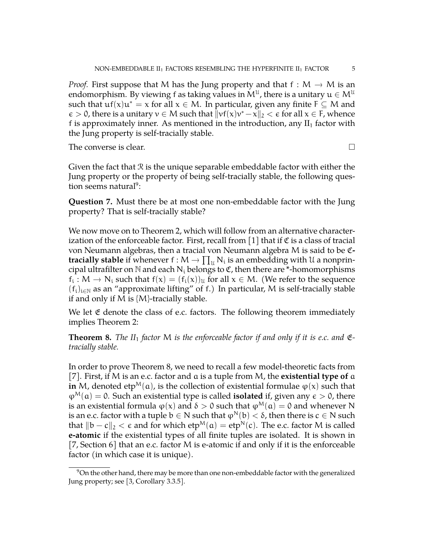*Proof.* First suppose that M has the Jung property and that  $f : M \to M$  is an endomorphism. By viewing f as taking values in  $\mathsf{M}^{\mathfrak{U}}$ , there is a unitary  $\mathfrak{u}\in \mathsf{M}^{\mathfrak{U}}$ such that  $\mathrm{uf}(x)\mathrm{u}^* = x$  for all  $x \in M$ . In particular, given any finite  $F \subseteq M$  and  $\epsilon > 0$ , there is a unitary  $v \in M$  such that  $||vf(x)v^* - x||_2 < \epsilon$  for all  $x \in F$ , whence f is approximately inner. As mentioned in the introduction, any  $II_1$  factor with the Jung property is self-tracially stable.

The converse is clear.  $\Box$ 

Given the fact that  $\Re$  is the unique separable embeddable factor with either the Jung property or the property of being self-tracially stable, the following ques-tion seems natural<sup>[9](#page-4-0)</sup>:

**Question 7.** Must there be at most one non-embeddable factor with the Jung property? That is self-tracially stable?

We now move on to Theorem 2, which will follow from an alternative characterization of the enforceable factor. First, recall from  $[1]$  that if  $\mathfrak C$  is a class of tracial von Neumann algebras, then a tracial von Neumann algebra M is said to be C**tracially stable** if whenever  $f : M \to \prod_u N_i$  is an embedding with U a nonprincipal ultrafilter on  $\mathbb N$  and each  $\mathbb N_i$  belongs to  $\mathfrak C$ , then there are \*-homomorphisms  $f_i: M \to N_i$  such that  $f(x) = (f_i(x))_u$  for all  $x \in M$ . (We refer to the sequence  $(f_i)_{i\in\mathbb{N}}$  as an "approximate lifting" of f.) In particular, M is self-tracially stable if and only if M is  ${M}$ -tracially stable.

We let  $\mathfrak E$  denote the class of e.c. factors. The following theorem immediately implies Theorem 2:

<span id="page-4-1"></span>**Theorem 8.** *The II<sub>1</sub> factor* M *is the enforceable factor if and only if it is e.c. and*  $\mathfrak{E}$ *tracially stable.*

In order to prove Theorem [8,](#page-4-1) we need to recall a few model-theoretic facts from [\[7\]](#page-7-6). First, if M is an e.c. factor and a is a tuple from M, the **existential type of** a **in** M, denoted etp<sup>M</sup>(a), is the collection of existential formulae  $\varphi(x)$  such that  $\varphi^M(\mathfrak{a}) = 0$ . Such an existential type is called **isolated** if, given any  $\epsilon > 0$ , there is an existential formula  $\varphi(x)$  and  $\delta > 0$  such that  $\varphi^M(\mathfrak{a}) = 0$  and whenever N is an e.c. factor with a tuple  $b \in N$  such that  $\varphi^N(b) < \delta$ , then there is  $c \in N$  such that  $||b - c||_2 < \epsilon$  and for which  $etp^{M}(a) = etp^{N}(c)$ . The e.c. factor M is called **e-atomic** if the existential types of all finite tuples are isolated. It is shown in [\[7,](#page-7-6) Section 6] that an e.c. factor M is e-atomic if and only if it is the enforceable factor (in which case it is unique).

<span id="page-4-0"></span> $9$ On the other hand, there may be more than one non-embeddable factor with the generalized Jung property; see [\[3,](#page-6-0) Corollary 3.3.5].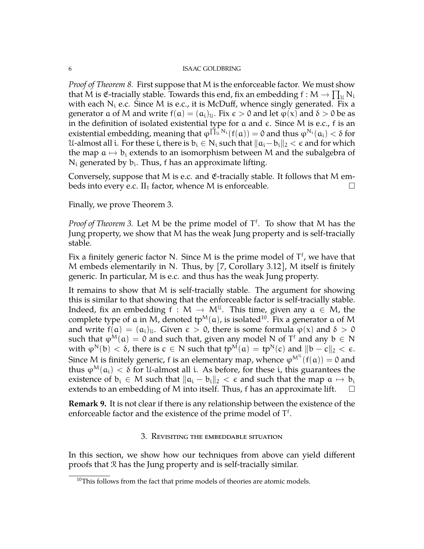*Proof of Theorem [8.](#page-4-1)* First suppose that M is the enforceable factor. We must show that M is  $\mathfrak{E}$ -tracially stable. Towards this end, fix an embedding  $f : M \to \prod_{\mathfrak{U}} N_{\mathfrak{U}}$ with each  $N_i$  e.c. Since M is e.c., it is McDuff, whence singly generated. Fix a generator  $\alpha$  of M and write  $f(\alpha) = (\alpha_i)_{\mathfrak{U}}$ . Fix  $\epsilon > 0$  and let  $\varphi(x)$  and  $\delta > 0$  be as in the definition of isolated existential type for  $a$  and  $\epsilon$ . Since M is e.c., f is an existential embedding, meaning that  $\phi^{\tilde{\Pi}_{\tilde{u}}N_i}(f(a)) = 0$  and thus  $\phi^{N_i}(a_i) < \delta$  for U-almost all i. For these i, there is  $b_i \in N_i$  such that  $||a_i-b_i||_2 < \epsilon$  and for which the map  $a \mapsto b_i$  extends to an isomorphism between M and the subalgebra of  $N_i$  generated by  $b_i$ . Thus, f has an approximate lifting.

Conversely, suppose that M is e.c. and  $E$ -tracially stable. It follows that M embeds into every e.c.  $II_1$  factor, whence M is enforceable.  $\Box$ 

Finally, we prove Theorem 3.

Proof of Theorem 3. Let M be the prime model of  $T^f$ . To show that M has the Jung property, we show that M has the weak Jung property and is self-tracially stable.

Fix a finitely generic factor N. Since M is the prime model of  $T<sup>f</sup>$ , we have that M embeds elementarily in N. Thus, by [\[7,](#page-7-6) Corollary 3.12], M itself is finitely generic. In particular, M is e.c. and thus has the weak Jung property.

It remains to show that M is self-tracially stable. The argument for showing this is similar to that showing that the enforceable factor is self-tracially stable. Indeed, fix an embedding  $f : M \to M^{\mathcal{U}}$ . This time, given any  $a \in M$ , the complete type of a in M, denoted tp<sup>M</sup>(a), is isolated<sup>[10](#page-5-0)</sup>. Fix a generator a of M and write  $f(a) = (a_i)_{\mathfrak{U}}$ . Given  $\epsilon > 0$ , there is some formula  $\varphi(x)$  and  $\delta > 0$ such that  $\varphi^M(\mathfrak{a}) = 0$  and such that, given any model N of T<sup>f</sup> and any  $\mathfrak{b} \in N$ with  $\varphi^{N}(b) < \delta$ , there is  $c \in N$  such that  $tp^{M}(a) = tp^{N}(c)$  and  $||b - c||_2 < \epsilon$ . Since M is finitely generic, f is an elementary map, whence  $\phi^{\text{M}^{\text{U}}}(\textsf{f}(\textup{\texttt{a}})) = \textup{0}$  and thus  $\varphi^M(\mathfrak{a}_i) < \delta$  for U-almost all i. As before, for these i, this guarantees the existence of  $b_i$  ∈ *M* such that  $||a_i - b_i||_2 < \epsilon$  and such that the map  $a \mapsto b_i$  extends to an embedding of *M* into itself. Thus, f has an approximate lift.  $\square$ extends to an embedding of M into itself. Thus, f has an approximate lift.

**Remark 9.** It is not clear if there is any relationship between the existence of the enforceable factor and the existence of the prime model of  $T<sup>f</sup>$ .

## 3. Revisiting the embeddable situation

In this section, we show how our techniques from above can yield different proofs that R has the Jung property and is self-tracially similar.

<span id="page-5-0"></span> $10$ This follows from the fact that prime models of theories are atomic models.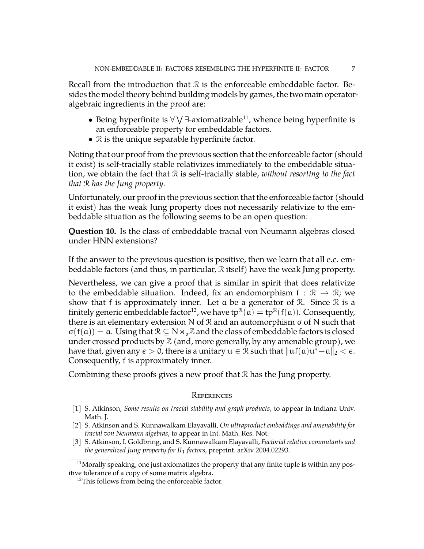Recall from the introduction that  $\mathcal R$  is the enforceable embeddable factor. Besides the model theory behind building models by games, the two main operatoralgebraic ingredients in the proof are:

- Being hyperfinite is  $\forall \forall \exists$ -axiomatizable<sup>[11](#page-6-3)</sup>, whence being hyperfinite is an enforceable property for embeddable factors.
- $\Re$  is the unique separable hyperfinite factor.

Noting that our proof from the previous section that the enforceable factor (should it exist) is self-tracially stable relativizes immediately to the embeddable situation, we obtain the fact that R is self-tracially stable, *without resorting to the fact that* R *has the Jung property*.

Unfortunately, our proof in the previous section that the enforceable factor (should it exist) has the weak Jung property does not necessarily relativize to the embeddable situation as the following seems to be an open question:

**Question 10.** Is the class of embeddable tracial von Neumann algebras closed under HNN extensions?

If the answer to the previous question is positive, then we learn that all e.c. embeddable factors (and thus, in particular, R itself) have the weak Jung property.

Nevertheless, we can give a proof that is similar in spirit that does relativize to the embeddable situation. Indeed, fix an endomorphism  $f : \mathbb{R} \to \mathbb{R}$ ; we show that f is approximately inner. Let a be a generator of R. Since R is a finitely generic embeddable factor<sup>[12](#page-6-4)</sup>, we have tp $^{\Re}(\mathfrak{a}) =$  tp $^{\Re}(\mathfrak{f}(\mathfrak{a}))$ . Consequently, there is an elementary extension N of  $\mathcal R$  and an automorphism  $\sigma$  of N such that  $\sigma(f(a)) = a$ . Using that  $\mathcal{R} \subset N \rtimes_{\sigma} \mathbb{Z}$  and the class of embeddable factors is closed under crossed products by  $\mathbb{Z}$  (and, more generally, by any amenable group), we have that, given any  $\epsilon >0$ , there is a unitary  $\mathfrak{u} \in \mathfrak{R}$  such that  $\|\mathfrak{u}\mathfrak{f}(\mathfrak{a})\mathfrak{u}^*{-}\mathfrak{a}\|_2 < \epsilon.$ Consequently, f is approximately inner.

Combining these proofs gives a new proof that R has the Jung property.

# **REFERENCES**

- <span id="page-6-2"></span>[1] S. Atkinson, *Some results on tracial stability and graph products*, to appear in Indiana Univ. Math. J.
- <span id="page-6-1"></span>[2] S. Atkinson and S. Kunnawalkam Elayavalli, *On ultraproduct embeddings and amenability for tracial von Neumann algebras*, to appear in Int. Math. Res. Not.
- <span id="page-6-0"></span>[3] S. Atkinson, I. Goldbring, and S. Kunnawalkam Elayavalli, *Factorial relative commutants and the generalized Jung property for II*<sup>1</sup> *factors*, preprint. arXiv 2004.02293.

<span id="page-6-3"></span><sup>&</sup>lt;sup>11</sup>Morally speaking, one just axiomatizes the property that any finite tuple is within any positive tolerance of a copy of some matrix algebra.

<span id="page-6-4"></span> $12$ This follows from being the enforceable factor.